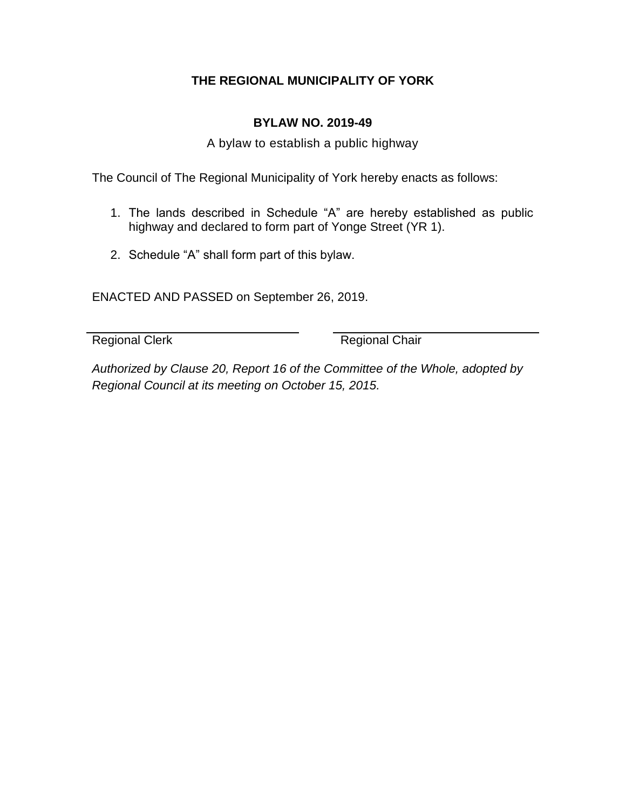## **THE REGIONAL MUNICIPALITY OF YORK**

## **BYLAW NO. 2019-49**

A bylaw to establish a public highway

The Council of The Regional Municipality of York hereby enacts as follows:

- 1. The lands described in Schedule "A" are hereby established as public highway and declared to form part of Yonge Street (YR 1).
- 2. Schedule "A" shall form part of this bylaw.

ENACTED AND PASSED on September 26, 2019.

Regional Clerk Regional Chair

*Authorized by Clause 20, Report 16 of the Committee of the Whole, adopted by Regional Council at its meeting on October 15, 2015.*